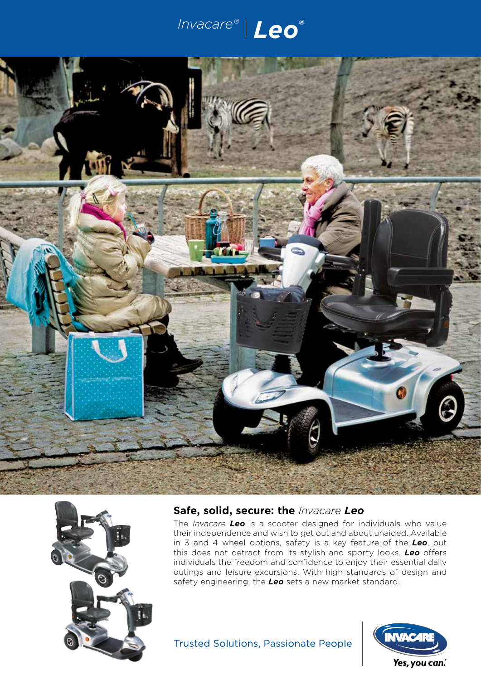





## **Safe, solid, secure: the** *Invacare Leo*

The *Invacare Leo* is a scooter designed for individuals who value their independence and wish to get out and about unaided. Available in 3 and 4 wheel options, safety is a key feature of the *Leo*, but this does not detract from its stylish and sporty looks. *Leo* offers individuals the freedom and confidence to enjoy their essential daily outings and leisure excursions. With high standards of design and safety engineering, the *Leo* sets a new market standard.

# **Trusted Solutions, Passionate People**

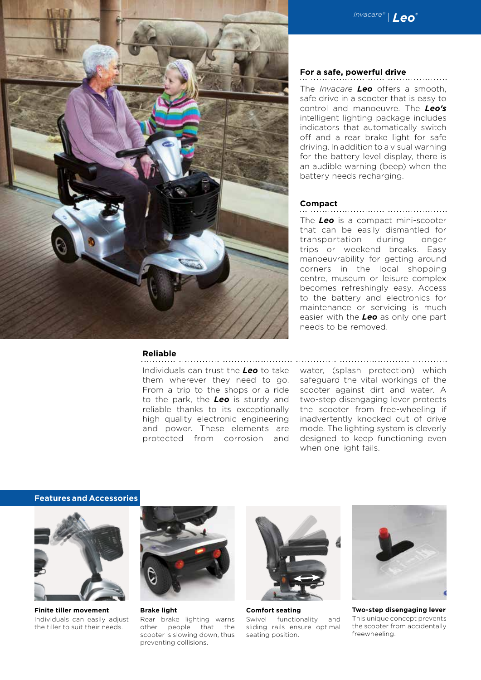



### **Reliable**

Individuals can trust the *Leo* to take them wherever they need to go. From a trip to the shops or a ride to the park, the *Leo* is sturdy and reliable thanks to its exceptionally high quality electronic engineering and power. These elements are protected from corrosion and

### **For a safe, powerful drive**

The *Invacare Leo* offers a smooth, safe drive in a scooter that is easy to control and manoeuvre. The *Leo's* intelligent lighting package includes indicators that automatically switch off and a rear brake light for safe driving. In addition to a visual warning for the battery level display, there is an audible warning (beep) when the battery needs recharging.

#### **Compact**

The *Leo* is a compact mini-scooter that can be easily dismantled for transportation during longer trips or weekend breaks. Easy manoeuvrability for getting around corners in the local shopping centre, museum or leisure complex becomes refreshingly easy. Access to the battery and electronics for maintenance or servicing is much easier with the *Leo* as only one part needs to be removed.

water, (splash protection) which safeguard the vital workings of the scooter against dirt and water. A two-step disengaging lever protects the scooter from free-wheeling if inadvertently knocked out of drive mode. The lighting system is cleverly designed to keep functioning even when one light fails.

#### **Features and Accessories**



**Finite tiller movement** Individuals can easily adjust the tiller to suit their needs.



**Brake light** Rear brake lighting warns other people that the scooter is slowing down, thus preventing collisions.



**Comfort seating** Swivel functionality and sliding rails ensure optimal seating position.



**Two-step disengaging lever** This unique concept prevents the scooter from accidentally freewheeling.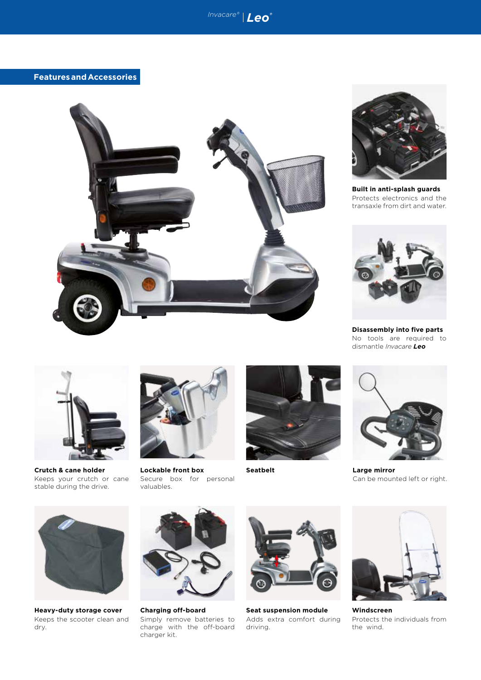



**Built in anti-splash guards** Protects electronics and the transaxle from dirt and water.



**Disassembly into five parts** No tools are required to dismantle *Invacare Leo*



**Crutch & cane holder** Keeps your crutch or cane stable during the drive.



**Lockable front box** Secure box for personal valuables.





**Seatbelt Large mirror** Can be mounted left or right.



**Heavy-duty storage cover** Keeps the scooter clean and dry.



**Charging off-board** Simply remove batteries to charge with the off-board charger kit.



**Seat suspension module**  Adds extra comfort during driving.



**Windscreen**  Protects the individuals from the wind.